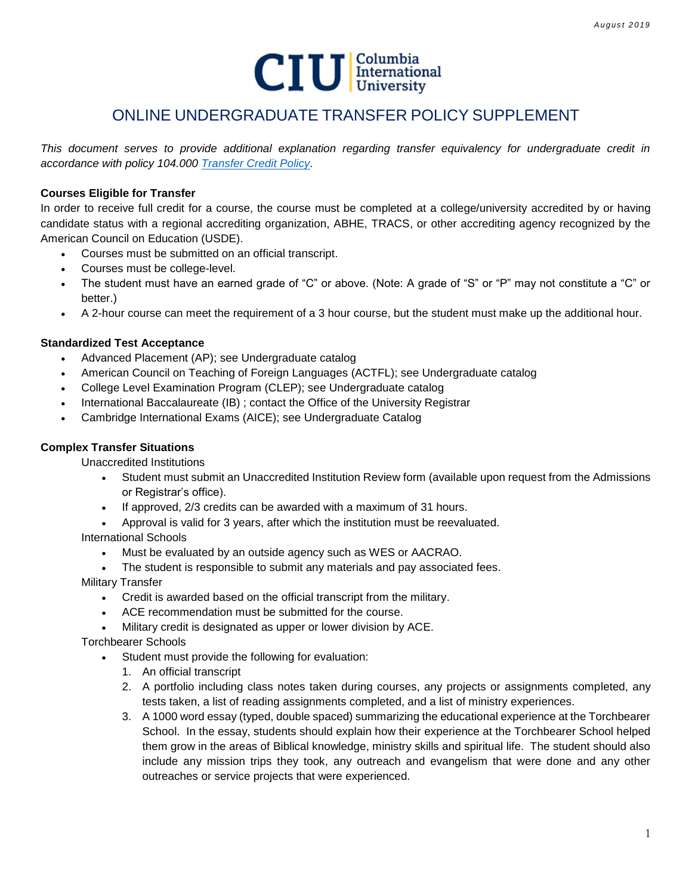

## ONLINE UNDERGRADUATE TRANSFER POLICY SUPPLEMENT

*This document serves to provide additional explanation regarding transfer equivalency for undergraduate credit in accordance with policy 104.000 [Transfer Credit Policy.](http://www.ciu.edu/sites/default/files/Policies/104%20000%20Transfer%20Credit%20Policy.pdf)*

### **Courses Eligible for Transfer**

In order to receive full credit for a course, the course must be completed at a college/university accredited by or having candidate status with a regional accrediting organization, ABHE, TRACS, or other accrediting agency recognized by the American Council on Education (USDE).

- Courses must be submitted on an official transcript.
- Courses must be college-level.
- The student must have an earned grade of "C" or above. (Note: A grade of "S" or "P" may not constitute a "C" or better.)
- A 2-hour course can meet the requirement of a 3 hour course, but the student must make up the additional hour.

#### **Standardized Test Acceptance**

- Advanced Placement (AP); see Undergraduate catalog
- American Council on Teaching of Foreign Languages (ACTFL); see Undergraduate catalog
- College Level Examination Program (CLEP); see Undergraduate catalog
- International Baccalaureate (IB) ; contact the Office of the University Registrar
- Cambridge International Exams (AICE); see Undergraduate Catalog

### **Complex Transfer Situations**

Unaccredited Institutions

- Student must submit an Unaccredited Institution Review form (available upon request from the Admissions or Registrar's office).
- If approved, 2/3 credits can be awarded with a maximum of 31 hours.
- Approval is valid for 3 years, after which the institution must be reevaluated.

International Schools

- Must be evaluated by an outside agency such as WES or AACRAO.
- The student is responsible to submit any materials and pay associated fees.
- Military Transfer
	- Credit is awarded based on the official transcript from the military.
	- ACE recommendation must be submitted for the course.
	- Military credit is designated as upper or lower division by ACE.

Torchbearer Schools

- Student must provide the following for evaluation:
	- 1. An official transcript
	- 2. A portfolio including class notes taken during courses, any projects or assignments completed, any tests taken, a list of reading assignments completed, and a list of ministry experiences.
	- 3. A 1000 word essay (typed, double spaced) summarizing the educational experience at the Torchbearer School. In the essay, students should explain how their experience at the Torchbearer School helped them grow in the areas of Biblical knowledge, ministry skills and spiritual life. The student should also include any mission trips they took, any outreach and evangelism that were done and any other outreaches or service projects that were experienced.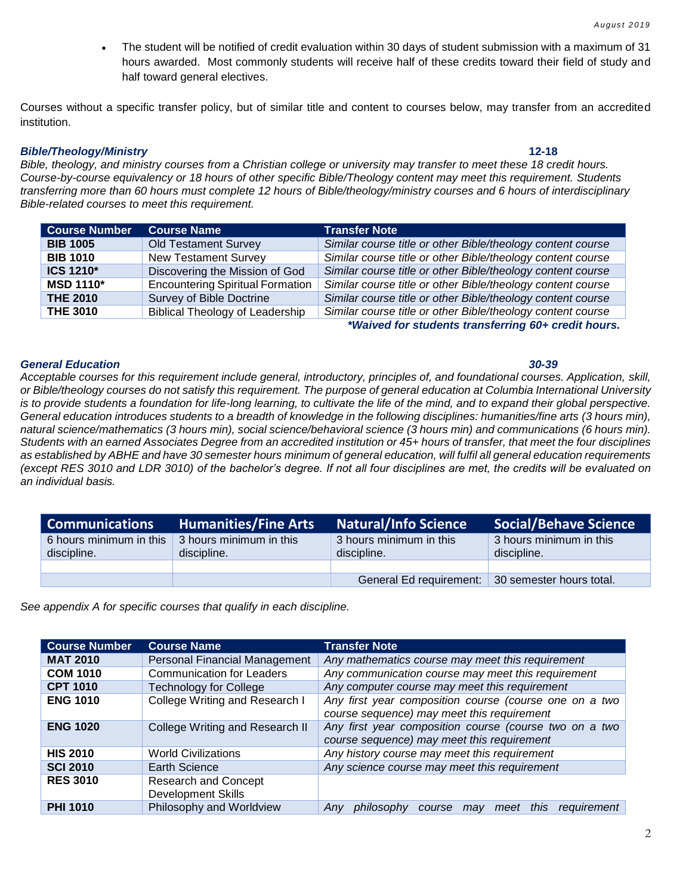The student will be notified of credit evaluation within 30 days of student submission with a maximum of 31 hours awarded. Most commonly students will receive half of these credits toward their field of study and half toward general electives.

Courses without a specific transfer policy, but of similar title and content to courses below, may transfer from an accredited institution.

#### *Bible/Theology/Ministry* **12-18**

*Bible, theology, and ministry courses from a Christian college or university may transfer to meet these 18 credit hours. Course-by-course equivalency or 18 hours of other specific Bible/Theology content may meet this requirement. Students transferring more than 60 hours must complete 12 hours of Bible/theology/ministry courses and 6 hours of interdisciplinary Bible-related courses to meet this requirement.* 

| <b>Course Number</b> | <b>Course Name</b>                      | <b>Transfer Note</b>                                        |
|----------------------|-----------------------------------------|-------------------------------------------------------------|
| <b>BIB 1005</b>      | <b>Old Testament Survey</b>             | Similar course title or other Bible/theology content course |
| <b>BIB 1010</b>      | <b>New Testament Survey</b>             | Similar course title or other Bible/theology content course |
| ICS 1210*            | Discovering the Mission of God          | Similar course title or other Bible/theology content course |
| <b>MSD 1110*</b>     | <b>Encountering Spiritual Formation</b> | Similar course title or other Bible/theology content course |
| <b>THE 2010</b>      | Survey of Bible Doctrine                | Similar course title or other Bible/theology content course |
| <b>THE 3010</b>      | <b>Biblical Theology of Leadership</b>  | Similar course title or other Bible/theology content course |

*\*Waived for students transferring 60+ credit hours.*

#### *General Education 30-39*

*Acceptable courses for this requirement include general, introductory, principles of, and foundational courses. Application, skill, or Bible/theology courses do not satisfy this requirement. The purpose of general education at Columbia International University*  is to provide students a foundation for life-long learning, to cultivate the life of the mind, and to expand their global perspective. *General education introduces students to a breadth of knowledge in the following disciplines: humanities/fine arts (3 hours min), natural science/mathematics (3 hours min), social science/behavioral science (3 hours min) and communications (6 hours min). Students with an earned Associates Degree from an accredited institution or 45+ hours of transfer, that meet the four disciplines as established by ABHE and have 30 semester hours minimum of general education, will fulfil all general education requirements (except RES 3010 and LDR 3010) of the bachelor's degree. If not all four disciplines are met, the credits will be evaluated on an individual basis.* 

| <b>Communications</b>                  | <b>Humanities/Fine Arts</b>            | <b>Natural/Info Science</b>                      | <b>Social/Behave Science</b>           |
|----------------------------------------|----------------------------------------|--------------------------------------------------|----------------------------------------|
| 6 hours minimum in this<br>discipline. | 3 hours minimum in this<br>discipline. | 3 hours minimum in this<br>discipline.           | 3 hours minimum in this<br>discipline. |
|                                        |                                        |                                                  |                                        |
|                                        |                                        | General Ed requirement: 30 semester hours total. |                                        |

*See appendix A for specific courses that qualify in each discipline.*

| <b>Course Number</b> | <b>Course Name</b>                                       | <b>Transfer Note</b>                                                                                 |
|----------------------|----------------------------------------------------------|------------------------------------------------------------------------------------------------------|
| <b>MAT 2010</b>      | Personal Financial Management                            | Any mathematics course may meet this requirement                                                     |
| <b>COM 1010</b>      | <b>Communication for Leaders</b>                         | Any communication course may meet this requirement                                                   |
| <b>CPT 1010</b>      | <b>Technology for College</b>                            | Any computer course may meet this requirement                                                        |
| <b>ENG 1010</b>      | College Writing and Research I                           | Any first year composition course (course one on a two<br>course sequence) may meet this requirement |
| <b>ENG 1020</b>      | College Writing and Research II                          | Any first year composition course (course two on a two<br>course sequence) may meet this requirement |
| <b>HIS 2010</b>      | <b>World Civilizations</b>                               | Any history course may meet this requirement                                                         |
| <b>SCI 2010</b>      | Earth Science                                            | Any science course may meet this requirement                                                         |
| <b>RES 3010</b>      | <b>Research and Concept</b><br><b>Development Skills</b> |                                                                                                      |
| <b>PHI 1010</b>      | Philosophy and Worldview                                 | meet this<br>requirement<br>philosophy<br>Anv<br>course<br>may                                       |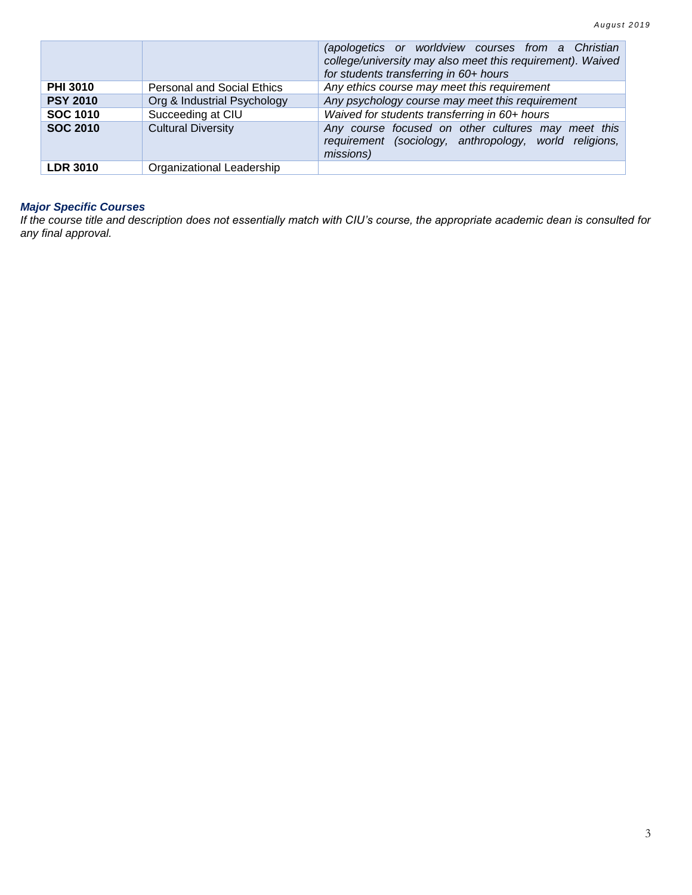|                 |                                   | (apologetics or worldview courses from a Christian<br>college/university may also meet this requirement). Waived<br>for students transferring in 60+ hours |
|-----------------|-----------------------------------|------------------------------------------------------------------------------------------------------------------------------------------------------------|
| <b>PHI 3010</b> | <b>Personal and Social Ethics</b> | Any ethics course may meet this requirement                                                                                                                |
| <b>PSY 2010</b> | Org & Industrial Psychology       | Any psychology course may meet this requirement                                                                                                            |
| <b>SOC 1010</b> | Succeeding at CIU                 | Waived for students transferring in 60+ hours                                                                                                              |
| <b>SOC 2010</b> | <b>Cultural Diversity</b>         | Any course focused on other cultures may meet this<br>requirement (sociology, anthropology, world religions,<br>missions)                                  |
| <b>LDR 3010</b> | Organizational Leadership         |                                                                                                                                                            |

#### *Major Specific Courses*

*If the course title and description does not essentially match with CIU's course, the appropriate academic dean is consulted for any final approval.*